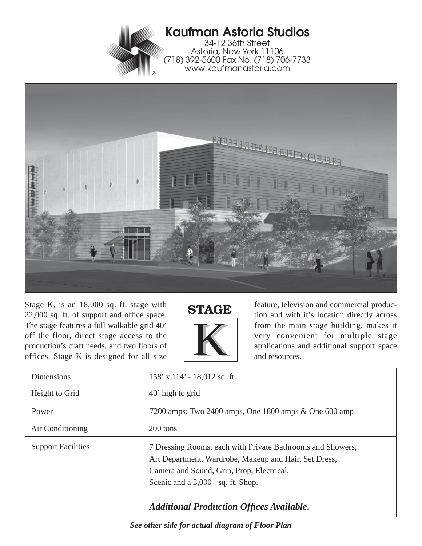

## **Kaufman Astoria Studios**

34-12 36th Street Astoria, New York 11106 (718) 392-5600 Fax No. (718) 706-7733 www.kaufmanastoria.com



Stage K, is an 18,000 sq. ft. stage with 22,000 sq. ft. of support and office space. The stage features a full walkable grid 40' off the floor, direct stage access to the production's craft needs, and two floors of offices. Stage K is designed for all size



feature, television and commercial production and with it's location directly across from the main stage building, makes it very convenient for multiple stage applications and additional support space and resources.

| <b>Dimensions</b>         | $158'$ x $114'$ - 18,012 sq. ft.                                                                                                                                                                        |
|---------------------------|---------------------------------------------------------------------------------------------------------------------------------------------------------------------------------------------------------|
| Height to Grid            | $40'$ high to grid                                                                                                                                                                                      |
| Power                     | 7200 amps; Two 2400 amps, One 1800 amps $\&$ One 600 amp                                                                                                                                                |
| Air Conditioning          | 200 tons                                                                                                                                                                                                |
| <b>Support Facilities</b> | 7 Dressing Rooms, each with Private Bathrooms and Showers,<br>Art Department, Wardrobe, Makeup and Hair, Set Dress,<br>Camera and Sound, Grip, Prop, Electrical,<br>Scenic and a $3,000+$ sq. ft. Shop. |
|                           | <b>Additional Production Offices Available.</b>                                                                                                                                                         |

*See other side for actual diagram of Floor Plan*